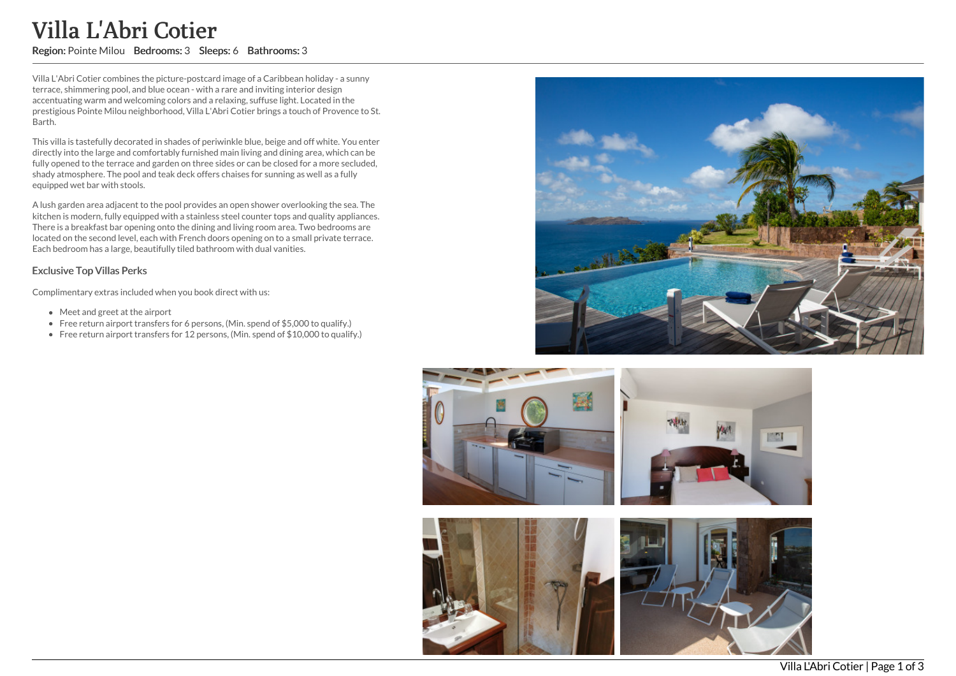## Villa L'Abri Cotier

## Region: Pointe Milou Bedrooms: 3 Sleeps: 6 Bathrooms: 3

Villa L'Abri Cotier combines the picture-postcard image of a Caribbean holiday - a sunny terrace, shimmering pool, and blue ocean - with a rare and inviting interior design accentuating warm and welcoming colors and a relaxing, suffuse light. Located in the prestigious Pointe Milou neighborhood, Villa L'Abri Cotier brings a touch of Provence to St. Barth.

This villa is tastefully decorated in shades of periwinkle blue, beige and off white. You enter directly into the large and comfortably furnished main living and dining area, which can be fully opened to the terrace and garden on three sides or can be closed for a more secluded, shady atmosphere. The pool and teak deck offers chaises for sunning as well as a fully equipped wet bar with stools.

A lush garden area adjacent to the pool provides an open shower overlooking the sea. The kitchen is modern, fully equipped with a stainless steel counter tops and quality appliances. There is a breakfast bar opening onto the dining and living room area. Two bedrooms are located on the second level, each with French doors opening on to a small private terrace. Each bedroom has a large, beautifully tiled bathroom with dual vanities.

## Exclusive Top Villas Perks

Complimentary extras included when you book direct with us:

- Meet and greet at the airport
- Free return airport transfers for 6 persons, (Min. spend of \$5,000 to qualify.)
- Free return airport transfers for 12 persons, (Min. spend of \$10,000 to qualify.)



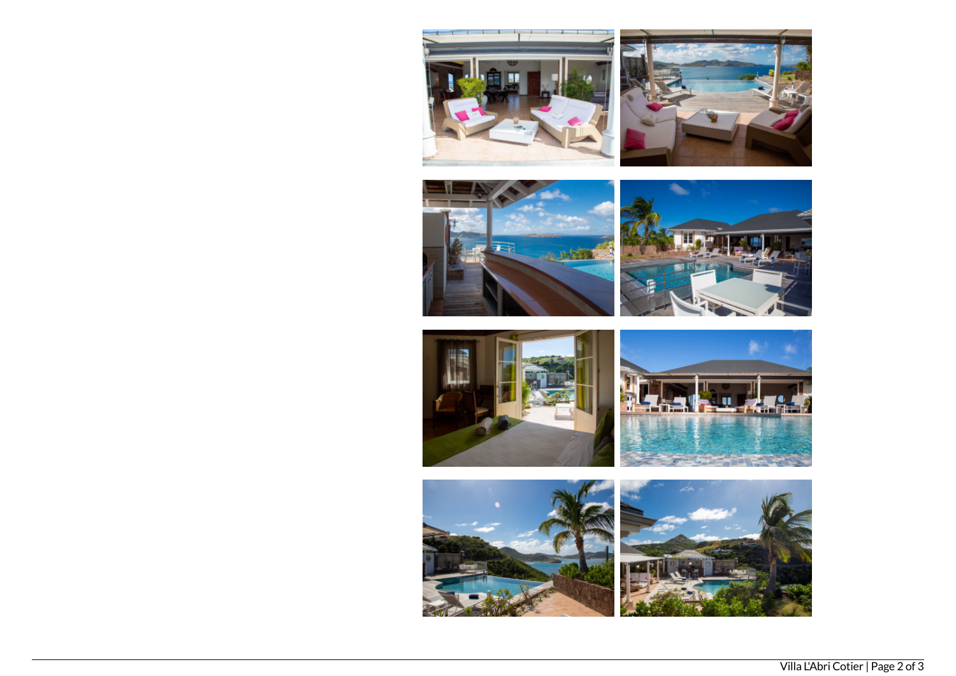